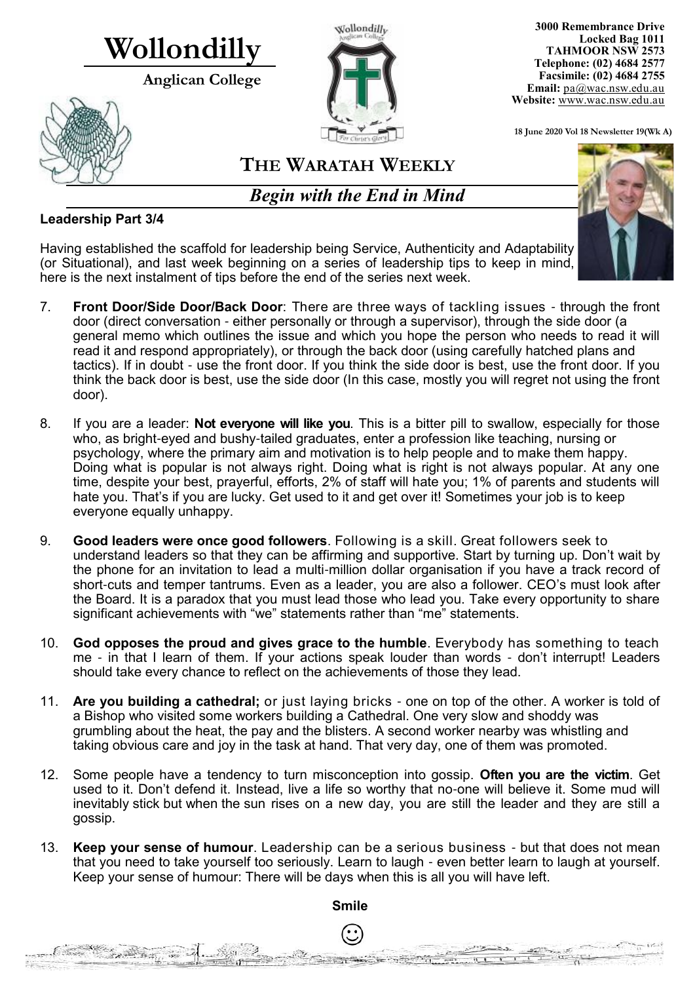# **Wollondilly**

**Anglican College** 





**3000 Remembrance Drive Locked Bag 1011 TAHMOOR NSW 2573 Telephone: (02) 4684 2577 Facsimile: (02) 4684 2755 Email:** [pa@wac.nsw.edu.au](mailto:pa@wac.nsw.edu.au) **Website:** www.wac.nsw.edu.au

**18 June 2020 Vol 18 Newsletter 19(Wk A)** 

## **THE WARATAH WEEKLY**

*Begin with the End in Mind*

#### **Leadership Part 3/4**

Contractor of the Contractor

 $24.802$ 

Having established the scaffold for leadership being Service, Authenticity and Adaptability (or Situational), and last week beginning on a series of leadership tips to keep in mind, here is the next instalment of tips before the end of the series next week.

- 7. **Front Door/Side Door/Back Door**: There are three ways of tackling issues through the front door (direct conversation - either personally or through a supervisor), through the side door (a general memo which outlines the issue and which you hope the person who needs to read it will read it and respond appropriately), or through the back door (using carefully hatched plans and tactics). If in doubt - use the front door. If you think the side door is best, use the front door. If you think the back door is best, use the side door (In this case, mostly you will regret not using the front door).
- 8. If you are a leader: **Not everyone will like you**. This is a bitter pill to swallow, especially for those who, as bright-eyed and bushy-tailed graduates, enter a profession like teaching, nursing or psychology, where the primary aim and motivation is to help people and to make them happy. Doing what is popular is not always right. Doing what is right is not always popular. At any one time, despite your best, prayerful, efforts, 2% of staff will hate you; 1% of parents and students will hate you. That's if you are lucky. Get used to it and get over it! Sometimes your job is to keep everyone equally unhappy.
- 9. **Good leaders were once good followers**. Following is a skill. Great followers seek to understand leaders so that they can be affirming and supportive. Start by turning up. Don't wait by the phone for an invitation to lead a multi-million dollar organisation if you have a track record of short-cuts and temper tantrums. Even as a leader, you are also a follower. CEO's must look after the Board. It is a paradox that you must lead those who lead you. Take every opportunity to share significant achievements with "we" statements rather than "me" statements.
- 10. **God opposes the proud and gives grace to the humble**. Everybody has something to teach me - in that I learn of them. If your actions speak louder than words - don't interrupt! Leaders should take every chance to reflect on the achievements of those they lead.
- 11. **Are you building a cathedral;** or just laying bricks one on top of the other. A worker is told of a Bishop who visited some workers building a Cathedral. One very slow and shoddy was grumbling about the heat, the pay and the blisters. A second worker nearby was whistling and taking obvious care and joy in the task at hand. That very day, one of them was promoted.
- 12. Some people have a tendency to turn misconception into gossip. **Often you are the victim**. Get used to it. Don't defend it. Instead, live a life so worthy that no-one will believe it. Some mud will inevitably stick but when the sun rises on a new day, you are still the leader and they are still a gossip.
- 13. **Keep your sense of humour**. Leadership can be a serious business but that does not mean that you need to take yourself too seriously. Learn to laugh - even better learn to laugh at yourself. Keep your sense of humour: There will be days when this is all you will have left.



**Smile**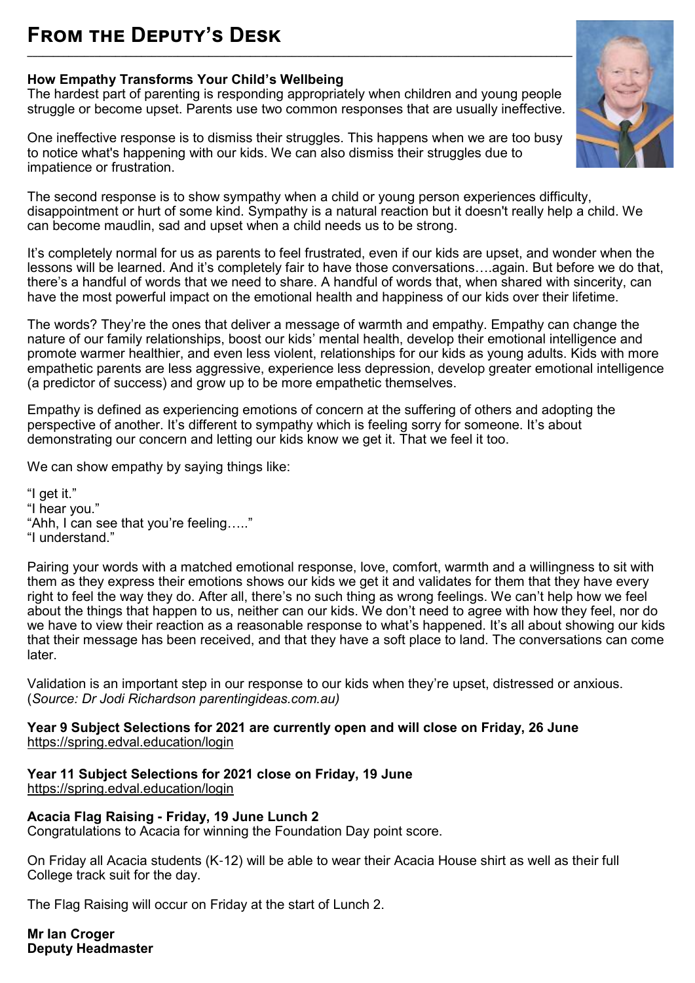### **From the Deputy's Desk \_\_\_\_\_\_\_\_\_\_\_\_\_\_\_\_\_\_\_\_\_\_\_\_\_\_\_\_\_\_\_\_\_\_\_\_\_\_\_\_\_\_\_\_\_\_\_\_\_\_\_\_\_\_\_\_\_\_\_\_\_\_\_\_\_\_\_\_\_\_\_\_\_\_\_\_\_\_\_\_\_\_\_\_\_\_\_\_\_\_\_\_\_\_\_\_\_\_\_\_\_\_\_\_\_**

#### **How Empathy Transforms Your Child's Wellbeing**

The hardest part of parenting is responding appropriately when children and young people struggle or become upset. Parents use two common responses that are usually ineffective.

One ineffective response is to dismiss their struggles. This happens when we are too busy to notice what's happening with our kids. We can also dismiss their struggles due to impatience or frustration.



It's completely normal for us as parents to feel frustrated, even if our kids are upset, and wonder when the lessons will be learned. And it's completely fair to have those conversations….again. But before we do that, there's a handful of words that we need to share. A handful of words that, when shared with sincerity, can have the most powerful impact on the emotional health and happiness of our kids over their lifetime.

The words? They're the ones that deliver a message of warmth and empathy. Empathy can change the nature of our family relationships, boost our kids' mental health, develop their emotional intelligence and promote warmer healthier, and even less violent, relationships for our kids as young adults. Kids with more empathetic parents are less aggressive, experience less depression, develop greater emotional intelligence (a predictor of success) and grow up to be more empathetic themselves.

Empathy is defined as experiencing emotions of concern at the suffering of others and adopting the perspective of another. It's different to sympathy which is feeling sorry for someone. It's about demonstrating our concern and letting our kids know we get it. That we feel it too.

We can show empathy by saying things like:

"I get it." "I hear you." "Ahh, I can see that you're feeling….." "I understand."

Pairing your words with a matched emotional response, love, comfort, warmth and a willingness to sit with them as they express their emotions shows our kids we get it and validates for them that they have every right to feel the way they do. After all, there's no such thing as wrong feelings. We can't help how we feel about the things that happen to us, neither can our kids. We don't need to agree with how they feel, nor do we have to view their reaction as a reasonable response to what's happened. It's all about showing our kids that their message has been received, and that they have a soft place to land. The conversations can come later.

Validation is an important step in our response to our kids when they're upset, distressed or anxious. (*Source: Dr Jodi Richardson parentingideas.com.au)*

#### **Year 9 Subject Selections for 2021 are currently open and will close on Friday, 26 June** <https://spring.edval.education/login>

#### **Year 11 Subject Selections for 2021 close on Friday, 19 June** <https://spring.edval.education/login>

**Acacia Flag Raising - Friday, 19 June Lunch 2**

Congratulations to Acacia for winning the Foundation Day point score.

On Friday all Acacia students (K-12) will be able to wear their Acacia House shirt as well as their full College track suit for the day.

The Flag Raising will occur on Friday at the start of Lunch 2.

**Mr Ian Croger Deputy Headmaster** 

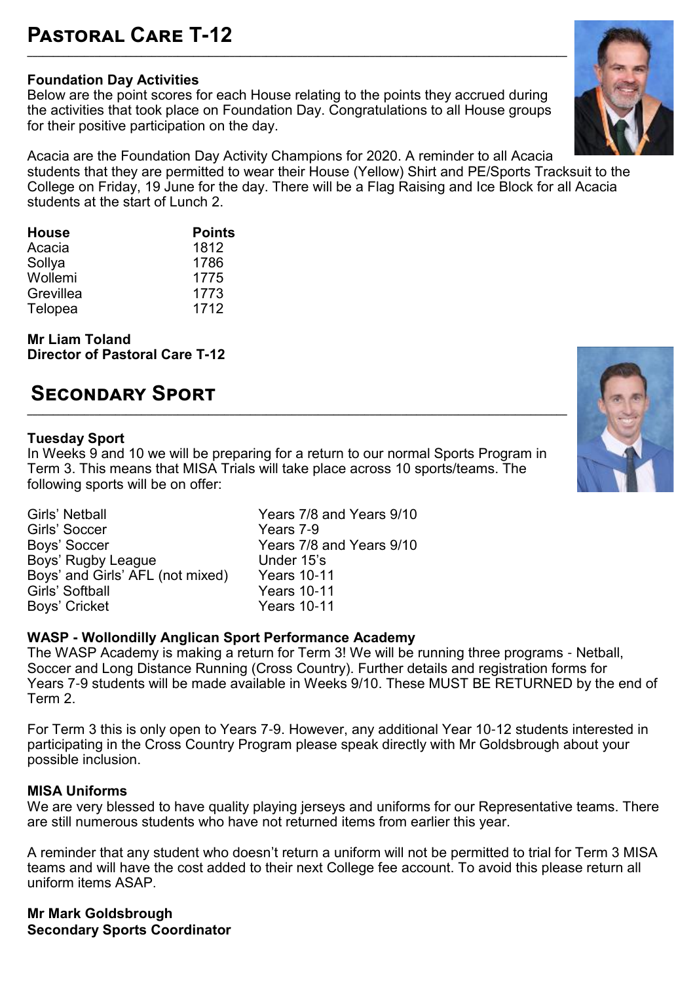### **Foundation Day Activities**

Below are the point scores for each House relating to the points they accrued during the activities that took place on Foundation Day. Congratulations to all House groups for their positive participation on the day.

**\_\_\_\_\_\_\_\_\_\_\_\_\_\_\_\_\_\_\_\_\_\_\_\_\_\_\_\_\_\_\_\_\_\_\_\_\_\_\_\_\_\_\_\_\_\_\_\_\_\_\_\_\_\_\_\_\_\_\_\_\_\_\_\_\_\_\_\_\_\_\_\_\_\_\_\_\_\_\_\_\_\_\_\_\_\_\_\_\_\_\_\_\_\_\_\_\_\_\_\_\_\_\_\_**

Acacia are the Foundation Day Activity Champions for 2020. A reminder to all Acacia students that they are permitted to wear their House (Yellow) Shirt and PE/Sports Tracksuit to the College on Friday, 19 June for the day. There will be a Flag Raising and Ice Block for all Acacia students at the start of Lunch 2.

| <b>House</b> | <b>Points</b> |
|--------------|---------------|
| Acacia       | 1812          |
| Sollya       | 1786          |
| Wollemi      | 1775          |
| Grevillea    | 1773          |
| Telopea      | 1712          |

**Mr Liam Toland Director of Pastoral Care T-12**

## **Secondary Sport**

#### **Tuesday Sport**

In Weeks 9 and 10 we will be preparing for a return to our normal Sports Program in Term 3. This means that MISA Trials will take place across 10 sports/teams. The following sports will be on offer:

**\_\_\_\_\_\_\_\_\_\_\_\_\_\_\_\_\_\_\_\_\_\_\_\_\_\_\_\_\_\_\_\_\_\_\_\_\_\_\_\_\_\_\_\_\_\_\_\_\_\_\_\_\_\_\_\_\_\_\_\_\_\_\_\_\_\_\_\_\_\_\_\_\_\_\_\_\_\_\_\_\_\_\_\_\_\_\_\_\_\_\_\_\_\_\_\_\_\_\_\_\_\_\_\_**

Girls' Netball **Girls' Netball**<br>Girls' Soccer The Years 7-9 Girls' Soccer<br>Boys' Soccer Boys' Rugby League **Under 15's**<br>Boys' and Girls' AFL (not mixed) Years 10-11 Boys' and Girls' AFL (not mixed) Years 10-11 Girls' Softball The Market Control of Market School of Pears 10-11<br>
Boys' Cricket The Years 10-11 Boys' Cricket

Years 7/8 and Years 9/10<br>Under 15's

#### **WASP - Wollondilly Anglican Sport Performance Academy**

The WASP Academy is making a return for Term 3! We will be running three programs - Netball, Soccer and Long Distance Running (Cross Country). Further details and registration forms for Years 7-9 students will be made available in Weeks 9/10. These MUST BE RETURNED by the end of Term 2.

For Term 3 this is only open to Years 7-9. However, any additional Year 10-12 students interested in participating in the Cross Country Program please speak directly with Mr Goldsbrough about your possible inclusion.

#### **MISA Uniforms**

We are very blessed to have quality playing jerseys and uniforms for our Representative teams. There are still numerous students who have not returned items from earlier this year.

A reminder that any student who doesn't return a uniform will not be permitted to trial for Term 3 MISA teams and will have the cost added to their next College fee account. To avoid this please return all uniform items ASAP.

**Mr Mark Goldsbrough Secondary Sports Coordinator**



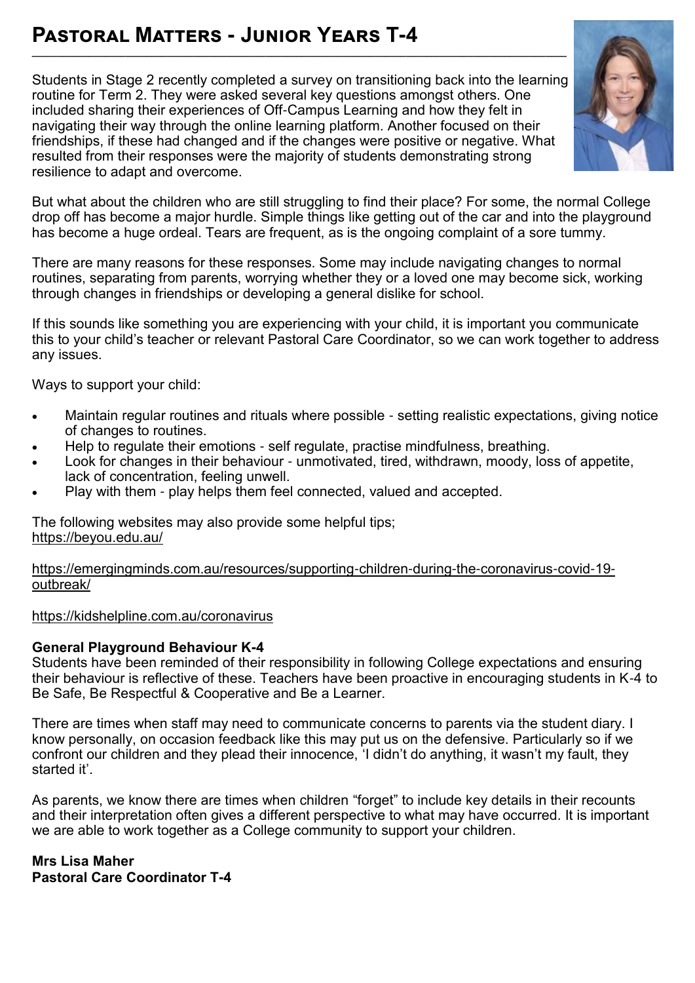## **Pastoral Matters - Junior Years T-4**

Students in Stage 2 recently completed a survey on transitioning back into the learning routine for Term 2. They were asked several key questions amongst others. One included sharing their experiences of Off-Campus Learning and how they felt in navigating their way through the online learning platform. Another focused on their friendships, if these had changed and if the changes were positive or negative. What resulted from their responses were the majority of students demonstrating strong resilience to adapt and overcome.

**\_\_\_\_\_\_\_\_\_\_\_\_\_\_\_\_\_\_\_\_\_\_\_\_\_\_\_\_\_\_\_\_\_\_\_\_\_\_\_\_\_\_\_\_\_\_\_\_\_\_\_\_\_\_\_\_\_\_\_\_\_\_\_\_\_\_\_\_\_\_\_\_\_\_\_\_\_\_\_\_\_\_\_\_\_\_\_\_\_\_\_\_\_\_\_\_\_\_\_\_\_\_\_**



But what about the children who are still struggling to find their place? For some, the normal College drop off has become a major hurdle. Simple things like getting out of the car and into the playground has become a huge ordeal. Tears are frequent, as is the ongoing complaint of a sore tummy.

There are many reasons for these responses. Some may include navigating changes to normal routines, separating from parents, worrying whether they or a loved one may become sick, working through changes in friendships or developing a general dislike for school.

If this sounds like something you are experiencing with your child, it is important you communicate this to your child's teacher or relevant Pastoral Care Coordinator, so we can work together to address any issues.

Ways to support your child:

- Maintain regular routines and rituals where possible setting realistic expectations, giving notice of changes to routines.
- Help to regulate their emotions self regulate, practise mindfulness, breathing.
- Look for changes in their behaviour unmotivated, tired, withdrawn, moody, loss of appetite, lack of concentration, feeling unwell.
- Play with them play helps them feel connected, valued and accepted.

The following websites may also provide some helpful tips; <https://beyou.edu.au/>

[https://emergingminds.com.au/resources/supporting](https://emergingminds.com.au/resources/supporting-children-during-the-coronavirus-covid-19-outbreak/)-children-during-the-coronavirus-covid-19 [outbreak/](https://emergingminds.com.au/resources/supporting-children-during-the-coronavirus-covid-19-outbreak/)

<https://kidshelpline.com.au/coronavirus>

#### **General Playground Behaviour K-4**

Students have been reminded of their responsibility in following College expectations and ensuring their behaviour is reflective of these. Teachers have been proactive in encouraging students in K-4 to Be Safe, Be Respectful & Cooperative and Be a Learner.

There are times when staff may need to communicate concerns to parents via the student diary. I know personally, on occasion feedback like this may put us on the defensive. Particularly so if we confront our children and they plead their innocence, 'I didn't do anything, it wasn't my fault, they started it'.

As parents, we know there are times when children "forget" to include key details in their recounts and their interpretation often gives a different perspective to what may have occurred. It is important we are able to work together as a College community to support your children.

**Mrs Lisa Maher Pastoral Care Coordinator T-4**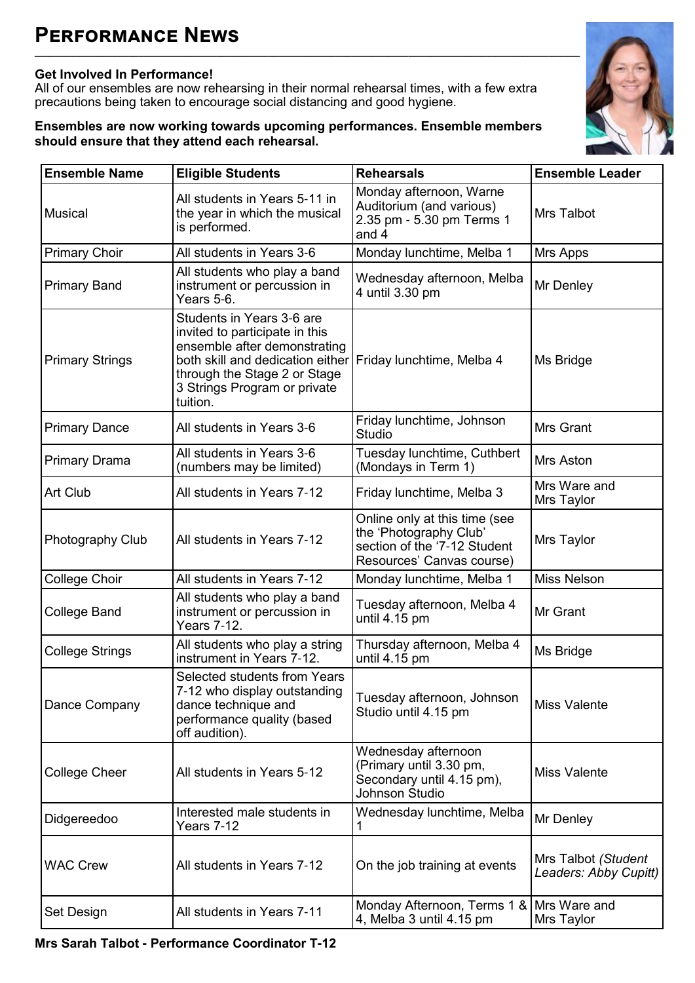### **Get Involved In Performance!**

All of our ensembles are now rehearsing in their normal rehearsal times, with a few extra precautions being taken to encourage social distancing and good hygiene.

**\_\_\_\_\_\_\_\_\_\_\_\_\_\_\_\_\_\_\_\_\_\_\_\_\_\_\_\_\_\_\_\_\_\_\_\_\_\_\_\_\_\_\_\_\_\_\_\_\_\_\_\_\_\_\_\_\_\_\_\_\_\_\_\_\_\_\_\_\_\_\_\_\_\_\_\_\_\_\_\_\_\_\_\_\_\_\_\_\_\_\_\_\_\_\_\_\_\_\_\_\_\_\_\_\_**

#### **Ensembles are now working towards upcoming performances. Ensemble members should ensure that they attend each rehearsal.**



| <b>Ensemble Name</b>   | <b>Eligible Students</b>                                                                                                                                                                                    | <b>Rehearsals</b>                                                                                                    | <b>Ensemble Leader</b>                       |  |
|------------------------|-------------------------------------------------------------------------------------------------------------------------------------------------------------------------------------------------------------|----------------------------------------------------------------------------------------------------------------------|----------------------------------------------|--|
| <b>Musical</b>         | All students in Years 5-11 in<br>the year in which the musical<br>is performed.                                                                                                                             | Monday afternoon, Warne<br>Auditorium (and various)<br>2.35 pm - 5.30 pm Terms 1<br>and 4                            | Mrs Talbot                                   |  |
| <b>Primary Choir</b>   | All students in Years 3-6                                                                                                                                                                                   | Monday lunchtime, Melba 1                                                                                            | Mrs Apps                                     |  |
| <b>Primary Band</b>    | All students who play a band<br>instrument or percussion in<br>Years 5-6.                                                                                                                                   | Wednesday afternoon, Melba<br>4 until 3.30 pm                                                                        | Mr Denley                                    |  |
| <b>Primary Strings</b> | Students in Years 3-6 are<br>invited to participate in this<br>ensemble after demonstrating<br>both skill and dedication either<br>through the Stage 2 or Stage<br>3 Strings Program or private<br>tuition. | Friday lunchtime, Melba 4                                                                                            | Ms Bridge                                    |  |
| <b>Primary Dance</b>   | All students in Years 3-6                                                                                                                                                                                   | Friday lunchtime, Johnson<br><b>Studio</b>                                                                           | <b>Mrs Grant</b>                             |  |
| <b>Primary Drama</b>   | All students in Years 3-6<br>(numbers may be limited)                                                                                                                                                       | Tuesday lunchtime, Cuthbert<br>(Mondays in Term 1)                                                                   | Mrs Aston                                    |  |
| Art Club               | All students in Years 7-12                                                                                                                                                                                  | Friday lunchtime, Melba 3                                                                                            | Mrs Ware and<br>Mrs Taylor                   |  |
| Photography Club       | All students in Years 7-12                                                                                                                                                                                  | Online only at this time (see<br>the 'Photography Club'<br>section of the '7-12 Student<br>Resources' Canvas course) | Mrs Taylor                                   |  |
| College Choir          | All students in Years 7-12                                                                                                                                                                                  | Monday lunchtime, Melba 1                                                                                            | <b>Miss Nelson</b>                           |  |
| <b>College Band</b>    | All students who play a band<br>instrument or percussion in<br><b>Years 7-12.</b>                                                                                                                           | Tuesday afternoon, Melba 4<br>until 4.15 pm                                                                          | Mr Grant                                     |  |
| <b>College Strings</b> | All students who play a string<br>instrument in Years 7-12.                                                                                                                                                 | Thursday afternoon, Melba 4<br>until 4.15 pm                                                                         | Ms Bridge                                    |  |
| Dance Company          | Selected students from Years<br>7-12 who display outstanding<br>dance technique and<br>performance quality (based<br>off audition).                                                                         | Tuesday afternoon, Johnson<br>Studio until 4.15 pm                                                                   | <b>Miss Valente</b>                          |  |
| <b>College Cheer</b>   | All students in Years 5-12                                                                                                                                                                                  | Wednesday afternoon<br>(Primary until 3.30 pm,<br>Secondary until 4.15 pm),<br>Johnson Studio                        | <b>Miss Valente</b>                          |  |
| Didgereedoo            | Interested male students in<br>Years 7-12                                                                                                                                                                   | Wednesday lunchtime, Melba<br>1                                                                                      | Mr Denley                                    |  |
| <b>WAC Crew</b>        | All students in Years 7-12                                                                                                                                                                                  | On the job training at events                                                                                        | Mrs Talbot (Student<br>Leaders: Abby Cupitt) |  |
| Set Design             | All students in Years 7-11                                                                                                                                                                                  | Monday Afternoon, Terms 1 &<br>4, Melba 3 until 4.15 pm                                                              | Mrs Ware and<br>Mrs Taylor                   |  |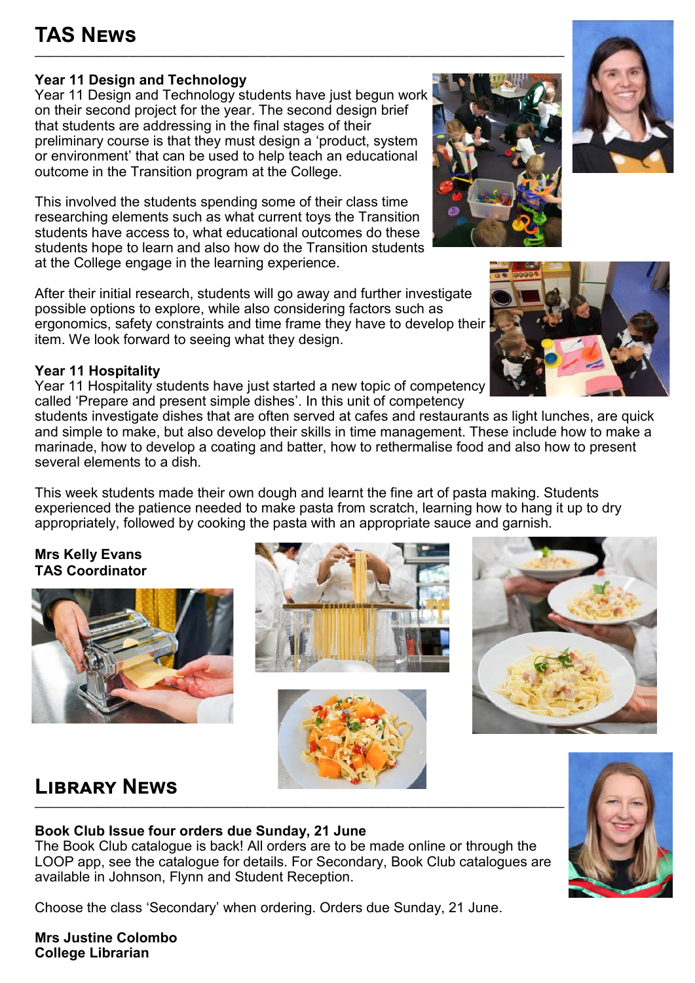## **TAS News**

### **Year 11 Design and Technology**

Year 11 Design and Technology students have just begun work on their second project for the year. The second design brief that students are addressing in the final stages of their preliminary course is that they must design a 'product, system or environment' that can be used to help teach an educational outcome in the Transition program at the College.

**\_\_\_\_\_\_\_\_\_\_\_\_\_\_\_\_\_\_\_\_\_\_\_\_\_\_\_\_\_\_\_\_\_\_\_\_\_\_\_\_\_\_\_\_\_\_\_\_\_\_\_\_\_\_\_\_\_\_\_\_\_\_\_\_\_\_\_\_\_\_\_\_\_\_\_\_\_\_\_\_\_\_\_\_\_\_\_\_\_\_\_\_\_\_\_\_\_\_\_\_\_\_**

This involved the students spending some of their class time researching elements such as what current toys the Transition students have access to, what educational outcomes do these students hope to learn and also how do the Transition students at the College engage in the learning experience.

After their initial research, students will go away and further investigate possible options to explore, while also considering factors such as ergonomics, safety constraints and time frame they have to develop their item. We look forward to seeing what they design.

### **Year 11 Hospitality**

Year 11 Hospitality students have just started a new topic of competency called 'Prepare and present simple dishes'. In this unit of competency

students investigate dishes that are often served at cafes and restaurants as light lunches, are quick and simple to make, but also develop their skills in time management. These include how to make a marinade, how to develop a coating and batter, how to rethermalise food and also how to present several elements to a dish.

This week students made their own dough and learnt the fine art of pasta making. Students experienced the patience needed to make pasta from scratch, learning how to hang it up to dry appropriately, followed by cooking the pasta with an appropriate sauce and garnish.

**Mrs Kelly Evans TAS Coordinator**



## **Library News**

#### **Book Club Issue four orders due Sunday, 21 June**

The Book Club catalogue is back! All orders are to be made online or through the LOOP app, see the catalogue for details. For Secondary, Book Club catalogues are available in Johnson, Flynn and Student Reception.

Choose the class 'Secondary' when ordering. Orders due Sunday, 21 June.

**Mrs Justine Colombo College Librarian**









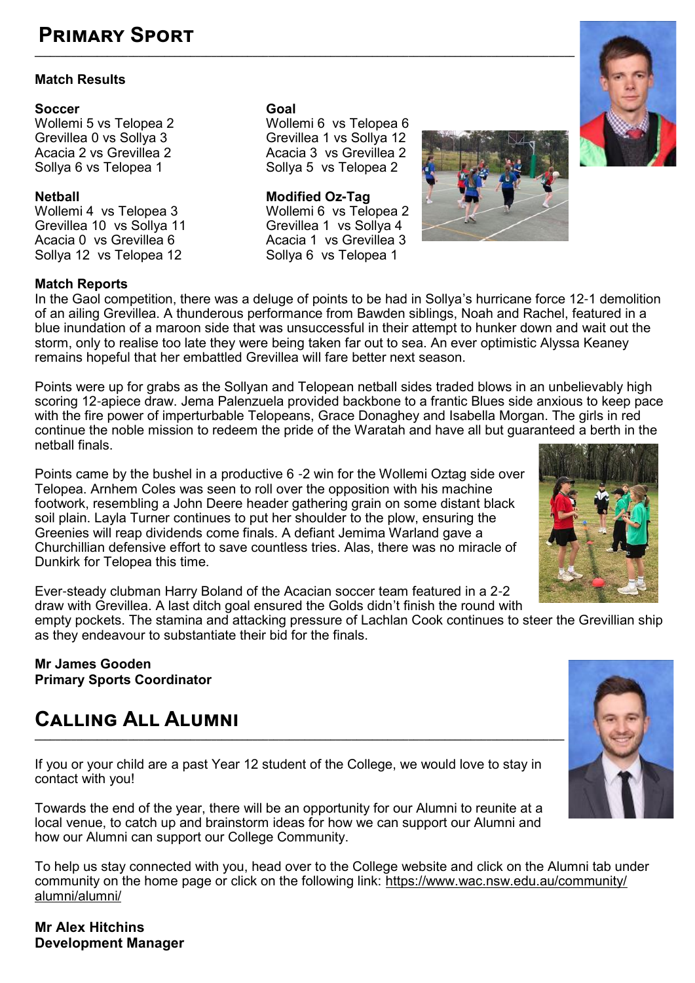## **Primary Sport**

#### **Match Results**

**Soccer**<br> **Coal Coal Coal Coal Coal Coal Coal Coal Coal Coal Coal Coal Coal Coal Coal Coal Coal Coal Coal Coal Coal Coal Coal Coal Coal Coal Coal Coal Coal Coal C** 

**Netball Modified Oz-Tag** Wollemi 4 vs Telopea 3 Wollemi 6 vs Telopea 2 Grevillea 10 vs Sollya 11 Grevillea 1 vs Sollya 4 Acacia 0 vs Grevillea 6 Acacia 1 vs Grevillea<br>Sollya 12 vs Telopea 12 Sollya 6 vs Telopea 1 Sollya 12 vs Telopea 12

#### **Match Reports**

In the Gaol competition, there was a deluge of points to be had in Sollya's hurricane force 12-1 demolition of an ailing Grevillea. A thunderous performance from Bawden siblings, Noah and Rachel, featured in a blue inundation of a maroon side that was unsuccessful in their attempt to hunker down and wait out the storm, only to realise too late they were being taken far out to sea. An ever optimistic Alyssa Keaney remains hopeful that her embattled Grevillea will fare better next season.

Points were up for grabs as the Sollyan and Telopean netball sides traded blows in an unbelievably high scoring 12-apiece draw. Jema Palenzuela provided backbone to a frantic Blues side anxious to keep pace with the fire power of imperturbable Telopeans, Grace Donaghey and Isabella Morgan. The girls in red continue the noble mission to redeem the pride of the Waratah and have all but guaranteed a berth in the netball finals.

Points came by the bushel in a productive 6 -2 win for the Wollemi Oztag side over Telopea. Arnhem Coles was seen to roll over the opposition with his machine footwork, resembling a John Deere header gathering grain on some distant black soil plain. Layla Turner continues to put her shoulder to the plow, ensuring the Greenies will reap dividends come finals. A defiant Jemima Warland gave a Churchillian defensive effort to save countless tries. Alas, there was no miracle of Dunkirk for Telopea this time.

Ever-steady clubman Harry Boland of the Acacian soccer team featured in a 2-2 draw with Grevillea. A last ditch goal ensured the Golds didn't finish the round with

empty pockets. The stamina and attacking pressure of Lachlan Cook continues to steer the Grevillian ship as they endeavour to substantiate their bid for the finals.

#### **Mr James Gooden Primary Sports Coordinator**

## **Calling All Alumni**

If you or your child are a past Year 12 student of the College, we would love to stay in contact with you!

Towards the end of the year, there will be an opportunity for our Alumni to reunite at a local venue, to catch up and brainstorm ideas for how we can support our Alumni and how our Alumni can support our College Community.

To help us stay connected with you, head over to the College website and click on the Alumni tab under community on the home page or click on the following link: [https://www.wac.nsw.edu.au/community/](https://www.wac.nsw.edu.au/community/alumni/alumni/) [alumni/alumni/](https://www.wac.nsw.edu.au/community/alumni/alumni/)

**Mr Alex Hitchins Development Manager** 

**\_\_\_\_\_\_\_\_\_\_\_\_\_\_\_\_\_\_\_\_\_\_\_\_\_\_\_\_\_\_\_\_\_\_\_\_\_\_\_\_\_\_\_\_\_\_\_\_\_\_\_\_\_\_\_\_\_\_\_\_\_\_\_\_\_\_\_\_\_\_\_\_\_\_\_\_\_\_\_\_\_\_\_\_\_\_\_\_\_\_\_\_\_\_\_\_\_\_\_\_\_\_\_\_**

Wollemi 5 vs Telopea 2 (Wollemi 6 vs Telopea 6<br>
Grevillea 0 vs Sollva 3 (Grevillea 1 vs Sollva 12) Grevillea 0 vs Sollya 3 Grevillea 1 vs Sollya 12<br>Acacia 2 vs Grevillea 2 Acacia 3 vs Grevillea 2 Acacia 2 vs Grevillea 2 Acacia 3 vs Grevillea 2<br>Sollya 6 vs Telopea 1 Sollya 5 vs Telopea 2 Sollya 5 vs Telopea 2







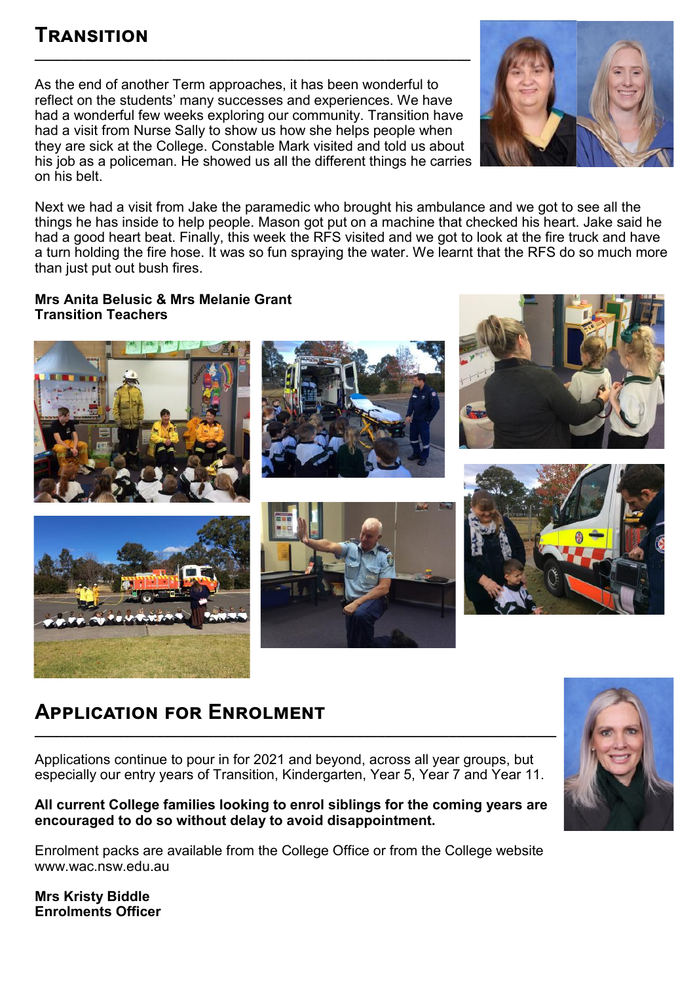## **Transition**

As the end of another Term approaches, it has been wonderful to reflect on the students' many successes and experiences. We have had a wonderful few weeks exploring our community. Transition have had a visit from Nurse Sally to show us how she helps people when they are sick at the College. Constable Mark visited and told us about his job as a policeman. He showed us all the different things he carries on his belt.

**\_\_\_\_\_\_\_\_\_\_\_\_\_\_\_\_\_\_\_\_\_\_\_\_\_\_\_\_\_\_\_\_\_\_\_\_\_\_\_\_\_\_\_\_\_\_\_\_\_\_\_\_\_\_\_\_\_\_\_\_\_**



Next we had a visit from Jake the paramedic who brought his ambulance and we got to see all the things he has inside to help people. Mason got put on a machine that checked his heart. Jake said he had a good heart beat. Finally, this week the RFS visited and we got to look at the fire truck and have a turn holding the fire hose. It was so fun spraying the water. We learnt that the RFS do so much more than just put out bush fires.

#### **Mrs Anita Belusic & Mrs Melanie Grant Transition Teachers**



## **Application for Enrolment**

Applications continue to pour in for 2021 and beyond, across all year groups, but especially our entry years of Transition, Kindergarten, Year 5, Year 7 and Year 11.

**\_\_\_\_\_\_\_\_\_\_\_\_\_\_\_\_\_\_\_\_\_\_\_\_\_\_\_\_\_\_\_\_\_\_\_\_\_\_\_\_\_\_\_\_\_\_\_\_\_\_\_\_\_\_\_\_\_\_\_\_\_\_\_\_\_\_\_\_\_\_\_\_\_**

#### **All current College families looking to enrol siblings for the coming years are encouraged to do so without delay to avoid disappointment.**

Enrolment packs are available from the College Office or from the College website www.wac.nsw.edu.au

**Mrs Kristy Biddle Enrolments Officer**

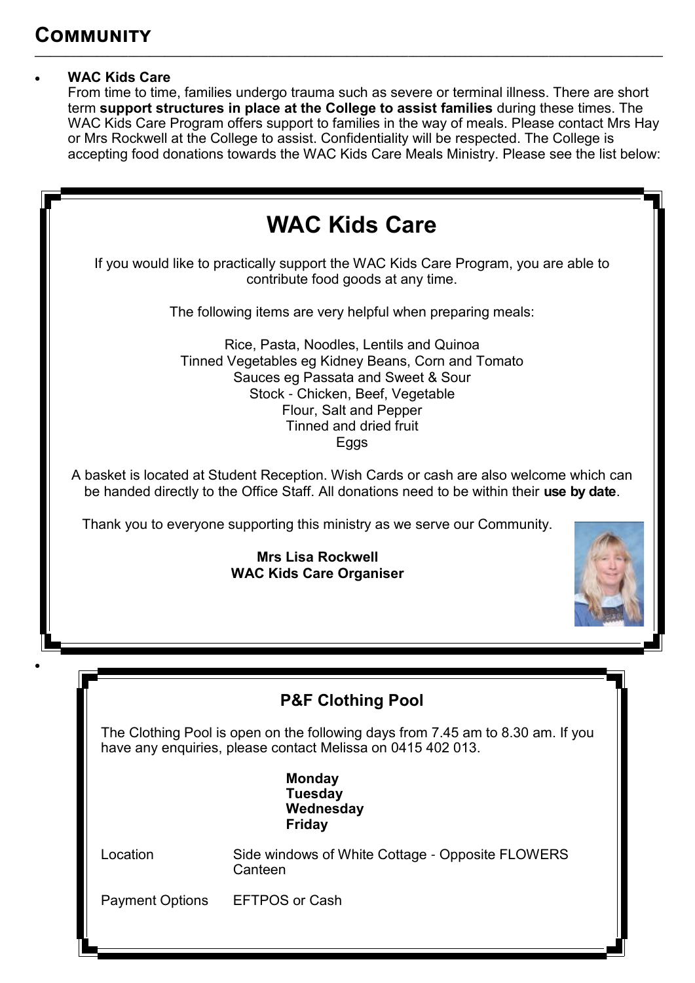### **WAC Kids Care**

From time to time, families undergo trauma such as severe or terminal illness. There are short term **support structures in place at the College to assist families** during these times. The WAC Kids Care Program offers support to families in the way of meals. Please contact Mrs Hay or Mrs Rockwell at the College to assist. Confidentiality will be respected. The College is accepting food donations towards the WAC Kids Care Meals Ministry. Please see the list below:

**\_\_\_\_\_\_\_\_\_\_\_\_\_\_\_\_\_\_\_\_\_\_\_\_\_\_\_\_\_\_\_\_\_\_\_\_\_\_\_\_\_\_\_\_\_\_\_\_\_\_\_\_\_\_\_\_\_\_\_\_\_\_\_\_\_\_\_\_\_\_\_\_\_\_\_\_\_\_\_\_\_\_\_\_\_\_\_\_\_\_\_\_\_\_\_\_\_\_\_\_\_\_\_\_\_\_\_\_\_\_\_\_\_\_\_\_\_\_\_\_\_**

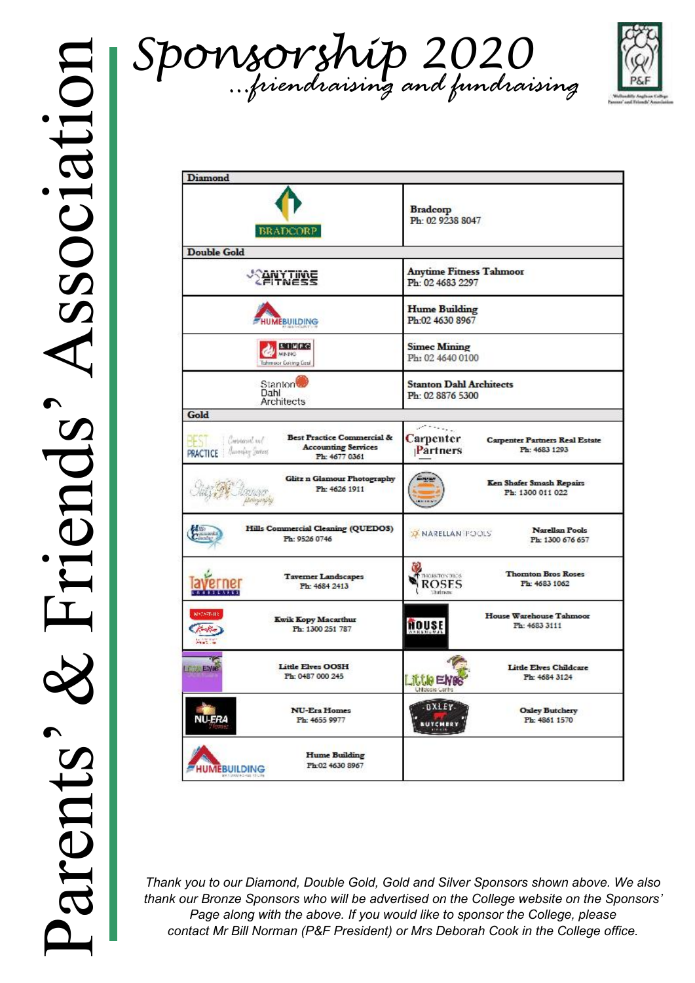



| <b>Diamond</b>                                                                                                                                         |                                                                                         |
|--------------------------------------------------------------------------------------------------------------------------------------------------------|-----------------------------------------------------------------------------------------|
| <b>BRADCORP</b>                                                                                                                                        | <b>Bradcorp</b><br>Ph: 02 9238 8047                                                     |
| <b>Double Gold</b>                                                                                                                                     |                                                                                         |
| <b><i><u>PANYTINE</u></i></b>                                                                                                                          | <b>Anytime Fitness Tahmoor</b><br>Ph: 02 4683 2297                                      |
| <b>HUMEBUILDING</b>                                                                                                                                    | <b>Hume Building</b><br>Ph:02 4630 8967                                                 |
| <b>STUFE</b><br>MINING<br>Tahmoor Coking Coal                                                                                                          | <b>Simec Mining</b><br>Ph: 02 4640 0100                                                 |
| Stanton <sup>t</sup><br>Dahl<br>Architects                                                                                                             | <b>Stanton Dahl Architects</b><br>Ph: 02 8876 5300                                      |
| Gold                                                                                                                                                   |                                                                                         |
| <b>Best Practice Commercial &amp;</b><br>Creistaus sul<br>BEST.<br><b>Accounting Services</b><br><b>PRACTICE</b>   According Sections<br>Ph: 4677 0361 | Carpenter<br><b>Carpenter Partners Real Estate</b><br>Partners<br>Ph: 4683 1293         |
| Glitz n Glamour Photography<br>Ph: 4626 1911                                                                                                           | Ken Shafer Smash Repairs<br>Ph: 1300 011 022                                            |
| Hills Commercial Cleaning (QUEDOS)<br>Ph: 9526 0746                                                                                                    | Narellan Pools<br><b>X NARELLAN POOLS</b><br>Ph: 1300 676 657                           |
| <b>Tavemer Landscapes</b><br>Ph: 4684 2413<br><b>TTEAKER</b>                                                                                           | <b>Thomton Bros Roses</b><br>THOMATON 1926<br><b>ROSES</b><br>Ph: 4683 1062<br>thelmost |
| кмент-пе<br>Kwik Kopy Macarthur<br>Ph: 1300 251 787<br>$-111$                                                                                          | House Warehouse Tahmoor<br>HOUSE<br>Ph: 4683 3111                                       |
| <b>Little Elves OOSH</b><br><b>LESSE ENRO</b><br>Ph: 0487 000 245                                                                                      | Little Elves Childcare<br>Ph: 4684 3124<br>Little E                                     |
| <b>NU-Era Homes</b><br><b>NU-ERA</b><br>Ph: 4655 9977                                                                                                  | DXLEY-<br><b>Oxley Butchery</b><br>Ph: 4861 1570<br><b>BUTCHERY</b>                     |
| <b>Hume Building</b><br>Ph:02 4630 8967<br><b>HUMEBUILDING</b>                                                                                         |                                                                                         |

*Thank you to our Diamond, Double Gold, Gold and Silver Sponsors shown above. We also thank our Bronze Sponsors who will be advertised on the College website on the Sponsors' Page along with the above. If you would like to sponsor the College, please contact Mr Bill Norman (P&F President) or Mrs Deborah Cook in the College office.*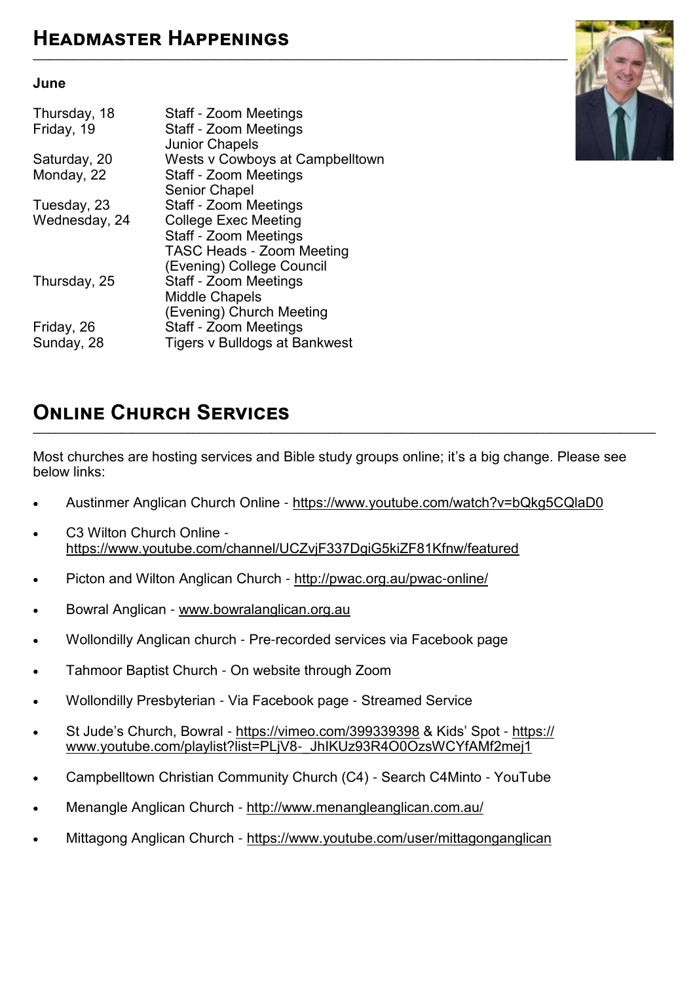#### **June**

| Thursday, 18<br>Friday, 19 | Staff - Zoom Meetings<br>Staff - Zoom Meetings<br><b>Junior Chapels</b> |
|----------------------------|-------------------------------------------------------------------------|
| Saturday, 20               | Wests v Cowboys at Campbelltown                                         |
| Monday, 22                 | Staff - Zoom Meetings                                                   |
|                            | <b>Senior Chapel</b>                                                    |
| Tuesday, 23                | Staff - Zoom Meetings                                                   |
| Wednesday, 24              | <b>College Exec Meeting</b>                                             |
|                            | Staff - Zoom Meetings                                                   |
|                            | <b>TASC Heads - Zoom Meeting</b>                                        |
|                            | (Evening) College Council                                               |
| Thursday, 25               | Staff - Zoom Meetings                                                   |
|                            | <b>Middle Chapels</b>                                                   |
|                            | (Evening) Church Meeting                                                |
| Friday, 26                 | Staff - Zoom Meetings                                                   |
| Sunday, 28                 | Tigers v Bulldogs at Bankwest                                           |



## **Online Church Services**

Most churches are hosting services and Bible study groups online; it's a big change. Please see below links:

**\_\_\_\_\_\_\_\_\_\_\_\_\_\_\_\_\_\_\_\_\_\_\_\_\_\_\_\_\_\_\_\_\_\_\_\_\_\_\_\_\_\_\_\_\_\_\_\_\_\_\_\_\_\_\_\_\_\_\_\_\_\_\_\_\_\_\_\_\_\_\_\_\_\_\_\_\_\_\_\_\_\_\_\_\_\_\_\_\_\_\_\_\_\_\_\_\_\_\_\_\_\_\_\_\_\_\_\_\_\_\_\_\_\_\_\_\_\_\_\_**

- Austinmer Anglican Church Online <https://www.youtube.com/watch?v=bQkg5CQlaD0>
- C3 Wilton Church Online <https://www.youtube.com/channel/UCZvjF337DgiG5kiZF81Kfnw/featured>
- Picton and Wilton Anglican Church - [http://pwac.org.au/pwac](http://pwac.org.au/pwac-online/)-online/
- Bowral Anglican - [www.bowralanglican.org.au](http://www.bowralanglican.org.au/)
- Wollondilly Anglican church Pre-recorded services via Facebook page
- Tahmoor Baptist Church On website through Zoom
- Wollondilly Presbyterian Via Facebook page Streamed Service
- St Jude's Church, Bowral <https://vimeo.com/399339398> & Kids' Spot [https://](https://www.youtube.com/playlist?list=PLjV8-_JhIKUz93R4O0OzsWCYfAMf2mej1) [www.youtube.com/playlist?list=PLjV8](https://www.youtube.com/playlist?list=PLjV8-_JhIKUz93R4O0OzsWCYfAMf2mej1)-\_JhIKUz93R4O0OzsWCYfAMf2mej1
- Campbelltown Christian Community Church (C4) Search C4Minto YouTube
- Menangle Anglican Church <http://www.menangleanglican.com.au/>
- Mittagong Anglican Church https://www.youtube.com/user/mittagonganglican